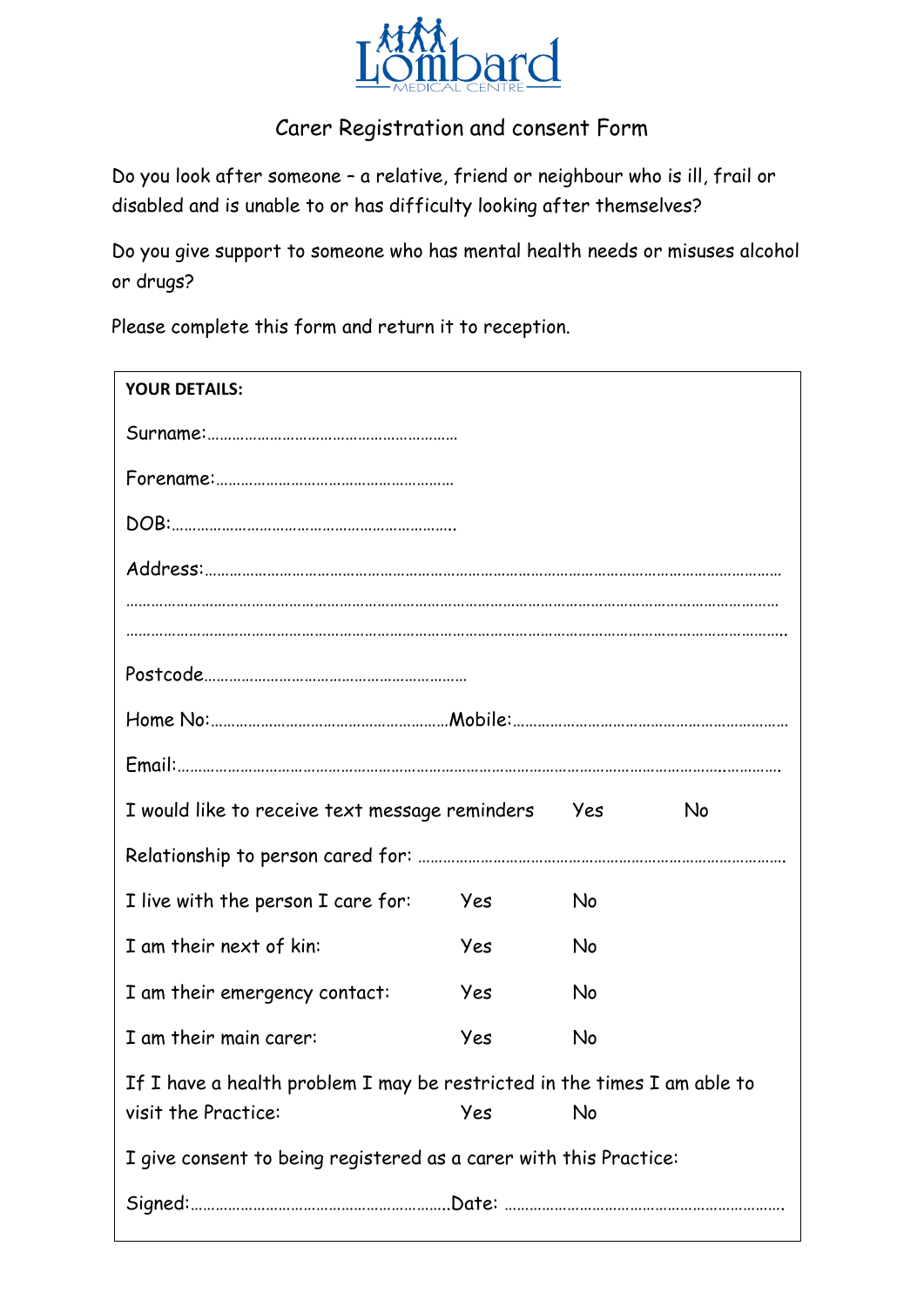

## Carer Registration and consent Form

Do you look after someone – a relative, friend or neighbour who is ill, frail or disabled and is unable to or has difficulty looking after themselves?

Do you give support to someone who has mental health needs or misuses alcohol or drugs?

Please complete this form and return it to reception.

| <b>YOUR DETAILS:</b>                                                     |     |       |           |
|--------------------------------------------------------------------------|-----|-------|-----------|
|                                                                          |     |       |           |
|                                                                          |     |       |           |
|                                                                          |     |       |           |
|                                                                          |     |       |           |
|                                                                          |     |       |           |
|                                                                          |     |       |           |
|                                                                          |     |       |           |
|                                                                          |     |       |           |
|                                                                          |     |       |           |
| I would like to receive text message reminders                           |     | Yes ( | <b>No</b> |
|                                                                          |     |       |           |
| I live with the person I care for:                                       | Yes | No    |           |
| I am their next of kin:                                                  | Yes | No    |           |
| I am their emergency contact:                                            | Yes | No    |           |
| I am their main carer:                                                   | Yes | No    |           |
| If I have a health problem I may be restricted in the times I am able to |     |       |           |
| visit the Practice:                                                      | Yes | No    |           |
| I give consent to being registered as a carer with this Practice:        |     |       |           |
|                                                                          |     |       |           |